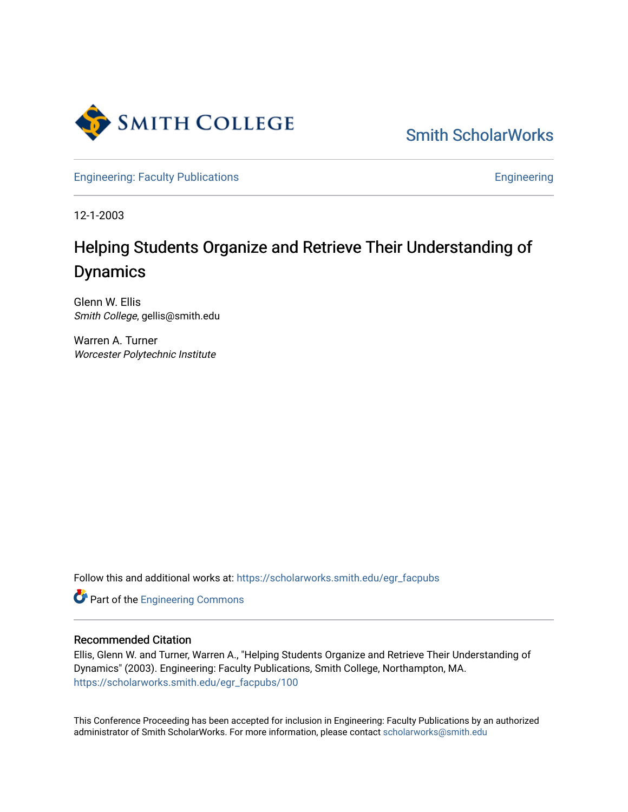

[Smith ScholarWorks](https://scholarworks.smith.edu/) 

[Engineering: Faculty Publications](https://scholarworks.smith.edu/egr_facpubs) **Engineering** 

12-1-2003

# Helping Students Organize and Retrieve Their Understanding of Dynamics

Glenn W. Ellis Smith College, gellis@smith.edu

Warren A. Turner Worcester Polytechnic Institute

Follow this and additional works at: [https://scholarworks.smith.edu/egr\\_facpubs](https://scholarworks.smith.edu/egr_facpubs?utm_source=scholarworks.smith.edu%2Fegr_facpubs%2F100&utm_medium=PDF&utm_campaign=PDFCoverPages) 

Part of the [Engineering Commons](http://network.bepress.com/hgg/discipline/217?utm_source=scholarworks.smith.edu%2Fegr_facpubs%2F100&utm_medium=PDF&utm_campaign=PDFCoverPages)

#### Recommended Citation

Ellis, Glenn W. and Turner, Warren A., "Helping Students Organize and Retrieve Their Understanding of Dynamics" (2003). Engineering: Faculty Publications, Smith College, Northampton, MA. [https://scholarworks.smith.edu/egr\\_facpubs/100](https://scholarworks.smith.edu/egr_facpubs/100?utm_source=scholarworks.smith.edu%2Fegr_facpubs%2F100&utm_medium=PDF&utm_campaign=PDFCoverPages) 

This Conference Proceeding has been accepted for inclusion in Engineering: Faculty Publications by an authorized administrator of Smith ScholarWorks. For more information, please contact [scholarworks@smith.edu](mailto:scholarworks@smith.edu)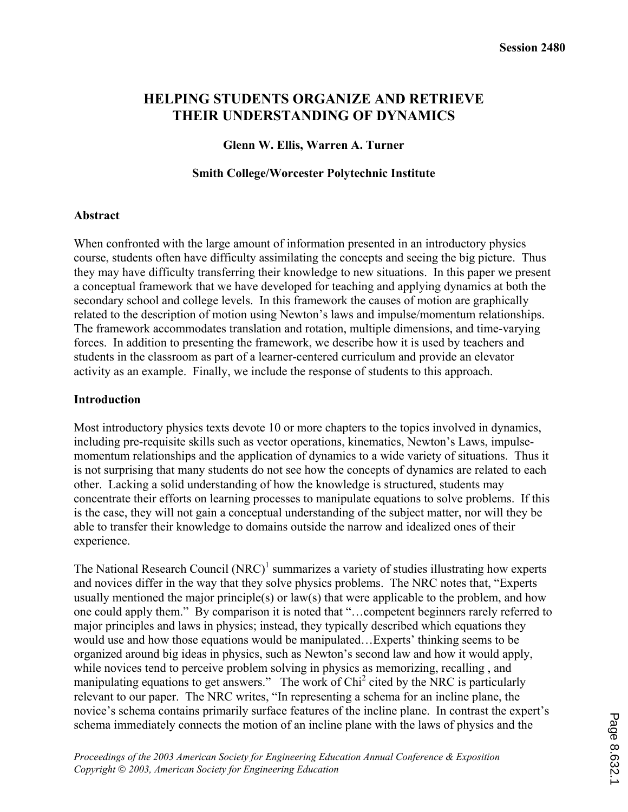# **HELPING STUDENTS ORGANIZE AND RETRIEVE THEIR UNDERSTANDING OF DYNAMICS**

## **Glenn W. Ellis, Warren A. Turner**

#### **Smith College/Worcester Polytechnic Institute**

#### **Abstract**

When confronted with the large amount of information presented in an introductory physics course, students often have difficulty assimilating the concepts and seeing the big picture. Thus they may have difficulty transferring their knowledge to new situations. In this paper we present a conceptual framework that we have developed for teaching and applying dynamics at both the secondary school and college levels. In this framework the causes of motion are graphically related to the description of motion using Newton's laws and impulse/momentum relationships. The framework accommodates translation and rotation, multiple dimensions, and time-varying forces. In addition to presenting the framework, we describe how it is used by teachers and students in the classroom as part of a learner-centered curriculum and provide an elevator activity as an example. Finally, we include the response of students to this approach.

### **Introduction**

Most introductory physics texts devote 10 or more chapters to the topics involved in dynamics, including pre-requisite skills such as vector operations, kinematics, Newton's Laws, impulsemomentum relationships and the application of dynamics to a wide variety of situations. Thus it is not surprising that many students do not see how the concepts of dynamics are related to each other. Lacking a solid understanding of how the knowledge is structured, students may concentrate their efforts on learning processes to manipulate equations to solve problems. If this is the case, they will not gain a conceptual understanding of the subject matter, nor will they be able to transfer their knowledge to domains outside the narrow and idealized ones of their experience.

The National Research Council  $(NRC)^1$  summarizes a variety of studies illustrating how experts and novices differ in the way that they solve physics problems. The NRC notes that, "Experts usually mentioned the major principle(s) or law(s) that were applicable to the problem, and how one could apply them." By comparison it is noted that "…competent beginners rarely referred to major principles and laws in physics; instead, they typically described which equations they would use and how those equations would be manipulated…Experts' thinking seems to be organized around big ideas in physics, such as Newton's second law and how it would apply, while novices tend to perceive problem solving in physics as memorizing, recalling, and manipulating equations to get answers." The work of Chi<sup>2</sup> cited by the NRC is particularly relevant to our paper. The NRC writes, "In representing a schema for an incline plane, the novice's schema contains primarily surface features of the incline plane. In contrast the expert's schema immediately connects the motion of an incline plane with the laws of physics and the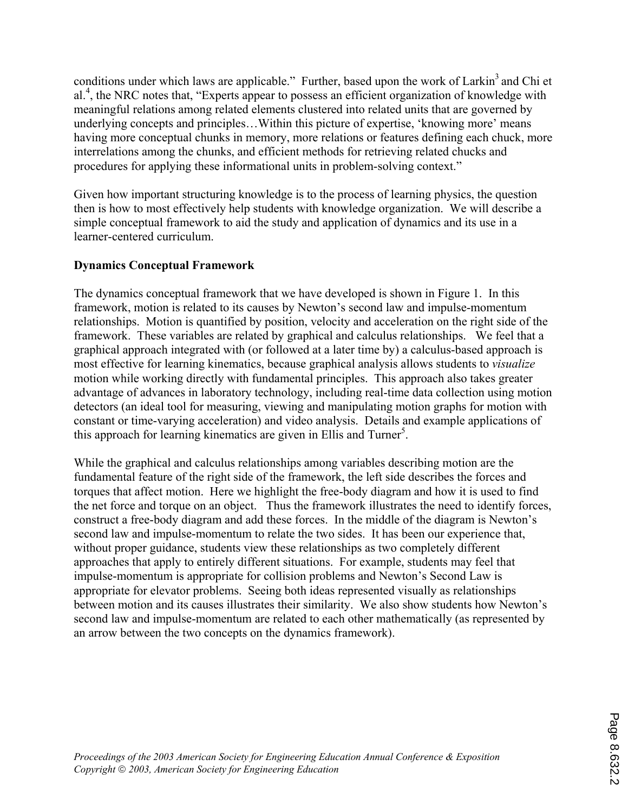conditions under which laws are applicable." Further, based upon the work of Larkin<sup>3</sup> and Chi et al.<sup>4</sup>, the NRC notes that, "Experts appear to possess an efficient organization of knowledge with meaningful relations among related elements clustered into related units that are governed by underlying concepts and principles…Within this picture of expertise, 'knowing more' means having more conceptual chunks in memory, more relations or features defining each chuck, more interrelations among the chunks, and efficient methods for retrieving related chucks and procedures for applying these informational units in problem-solving context."

Given how important structuring knowledge is to the process of learning physics, the question then is how to most effectively help students with knowledge organization. We will describe a simple conceptual framework to aid the study and application of dynamics and its use in a learner-centered curriculum.

# **Dynamics Conceptual Framework**

The dynamics conceptual framework that we have developed is shown in Figure 1. In this framework, motion is related to its causes by Newton's second law and impulse-momentum relationships. Motion is quantified by position, velocity and acceleration on the right side of the framework. These variables are related by graphical and calculus relationships. We feel that a graphical approach integrated with (or followed at a later time by) a calculus-based approach is most effective for learning kinematics, because graphical analysis allows students to *visualize* motion while working directly with fundamental principles. This approach also takes greater advantage of advances in laboratory technology, including real-time data collection using motion detectors (an ideal tool for measuring, viewing and manipulating motion graphs for motion with constant or time-varying acceleration) and video analysis. Details and example applications of this approach for learning kinematics are given in Ellis and Turner<sup>5</sup>.

While the graphical and calculus relationships among variables describing motion are the fundamental feature of the right side of the framework, the left side describes the forces and torques that affect motion. Here we highlight the free-body diagram and how it is used to find the net force and torque on an object. Thus the framework illustrates the need to identify forces, construct a free-body diagram and add these forces. In the middle of the diagram is Newton's second law and impulse-momentum to relate the two sides. It has been our experience that, without proper guidance, students view these relationships as two completely different approaches that apply to entirely different situations. For example, students may feel that impulse-momentum is appropriate for collision problems and Newton's Second Law is appropriate for elevator problems. Seeing both ideas represented visually as relationships between motion and its causes illustrates their similarity. We also show students how Newton's second law and impulse-momentum are related to each other mathematically (as represented by an arrow between the two concepts on the dynamics framework).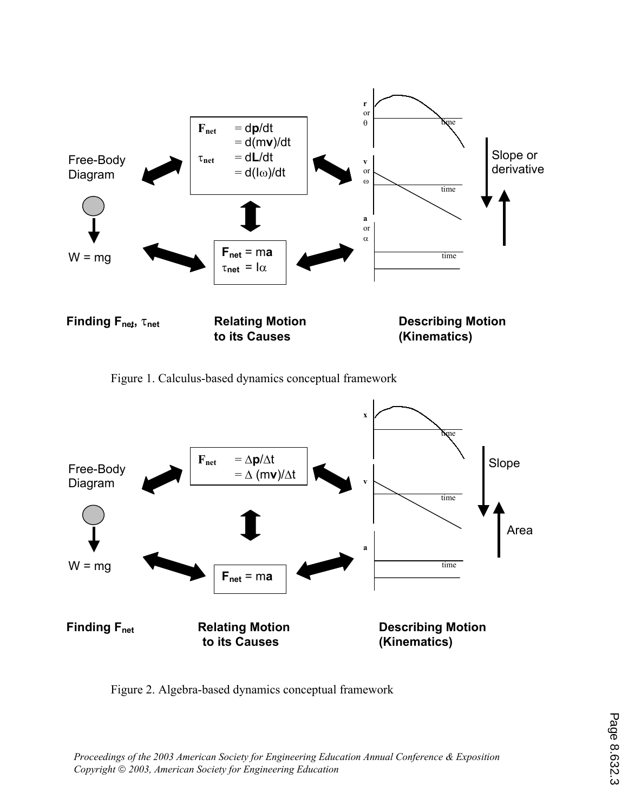

Figure 1. Calculus-based dynamics conceptual framework



Figure 2. Algebra-based dynamics conceptual framework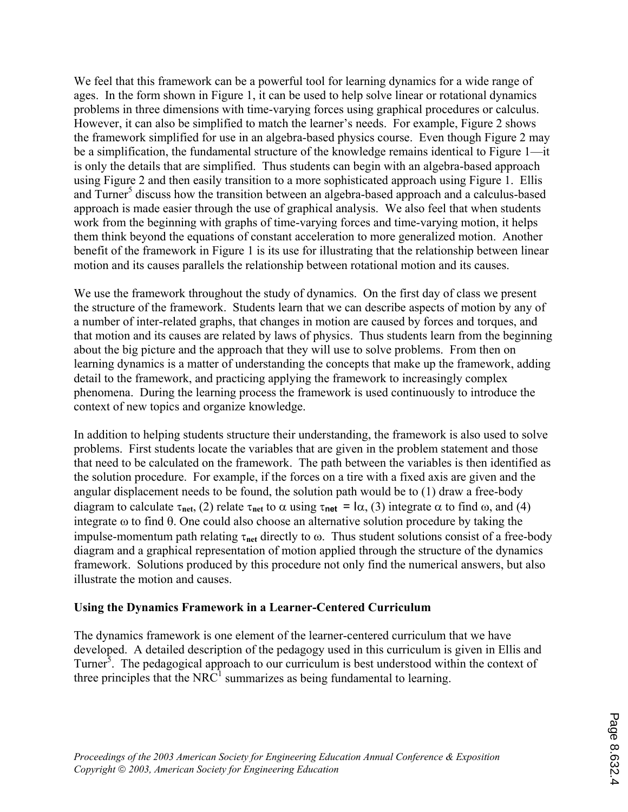We feel that this framework can be a powerful tool for learning dynamics for a wide range of ages. In the form shown in Figure 1, it can be used to help solve linear or rotational dynamics problems in three dimensions with time-varying forces using graphical procedures or calculus. However, it can also be simplified to match the learner's needs. For example, Figure 2 shows the framework simplified for use in an algebra-based physics course. Even though Figure 2 may be a simplification, the fundamental structure of the knowledge remains identical to Figure 1—it is only the details that are simplified. Thus students can begin with an algebra-based approach using Figure 2 and then easily transition to a more sophisticated approach using Figure 1. Ellis and Turner<sup>5</sup> discuss how the transition between an algebra-based approach and a calculus-based approach is made easier through the use of graphical analysis. We also feel that when students work from the beginning with graphs of time-varying forces and time-varying motion, it helps them think beyond the equations of constant acceleration to more generalized motion. Another benefit of the framework in Figure 1 is its use for illustrating that the relationship between linear motion and its causes parallels the relationship between rotational motion and its causes.

We use the framework throughout the study of dynamics. On the first day of class we present the structure of the framework. Students learn that we can describe aspects of motion by any of a number of inter-related graphs, that changes in motion are caused by forces and torques, and that motion and its causes are related by laws of physics. Thus students learn from the beginning about the big picture and the approach that they will use to solve problems. From then on learning dynamics is a matter of understanding the concepts that make up the framework, adding detail to the framework, and practicing applying the framework to increasingly complex phenomena. During the learning process the framework is used continuously to introduce the context of new topics and organize knowledge.

In addition to helping students structure their understanding, the framework is also used to solve problems. First students locate the variables that are given in the problem statement and those that need to be calculated on the framework. The path between the variables is then identified as the solution procedure. For example, if the forces on a tire with a fixed axis are given and the angular displacement needs to be found, the solution path would be to (1) draw a free-body diagram to calculate  $\tau_{net}$ , (2) relate  $\tau_{net}$  to  $\alpha$  using  $\tau_{net} = I\alpha$ , (3) integrate  $\alpha$  to find  $\omega$ , and (4) integrate ω to find θ. One could also choose an alternative solution procedure by taking the impulse-momentum path relating τ**net** directly to ω. Thus student solutions consist of a free-body diagram and a graphical representation of motion applied through the structure of the dynamics framework. Solutions produced by this procedure not only find the numerical answers, but also illustrate the motion and causes.

## **Using the Dynamics Framework in a Learner-Centered Curriculum**

The dynamics framework is one element of the learner-centered curriculum that we have developed. A detailed description of the pedagogy used in this curriculum is given in Ellis and Turner<sup>3</sup>. The pedagogical approach to our curriculum is best understood within the context of three principles that the  $NRC<sup>1</sup>$  summarizes as being fundamental to learning.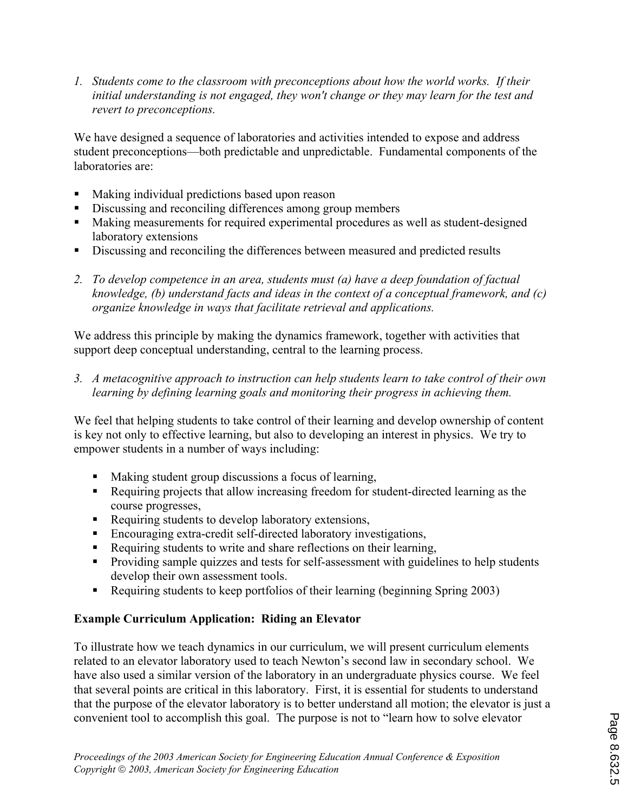*1. Students come to the classroom with preconceptions about how the world works. If their initial understanding is not engaged, they won't change or they may learn for the test and revert to preconceptions.*

We have designed a sequence of laboratories and activities intended to expose and address student preconceptions—both predictable and unpredictable. Fundamental components of the laboratories are:

- Making individual predictions based upon reason
- Discussing and reconciling differences among group members
- Making measurements for required experimental procedures as well as student-designed laboratory extensions
- Discussing and reconciling the differences between measured and predicted results
- *2. To develop competence in an area, students must (a) have a deep foundation of factual knowledge, (b) understand facts and ideas in the context of a conceptual framework, and (c) organize knowledge in ways that facilitate retrieval and applications.*

We address this principle by making the dynamics framework, together with activities that support deep conceptual understanding, central to the learning process.

*3. A metacognitive approach to instruction can help students learn to take control of their own learning by defining learning goals and monitoring their progress in achieving them.* 

We feel that helping students to take control of their learning and develop ownership of content is key not only to effective learning, but also to developing an interest in physics. We try to empower students in a number of ways including:

- Making student group discussions a focus of learning,
- Requiring projects that allow increasing freedom for student-directed learning as the course progresses,
- Requiring students to develop laboratory extensions,
- Encouraging extra-credit self-directed laboratory investigations,
- Requiring students to write and share reflections on their learning,
- **Providing sample quizzes and tests for self-assessment with guidelines to help students** develop their own assessment tools.
- Requiring students to keep portfolios of their learning (beginning Spring 2003)

## **Example Curriculum Application: Riding an Elevator**

To illustrate how we teach dynamics in our curriculum, we will present curriculum elements related to an elevator laboratory used to teach Newton's second law in secondary school. We have also used a similar version of the laboratory in an undergraduate physics course. We feel that several points are critical in this laboratory. First, it is essential for students to understand that the purpose of the elevator laboratory is to better understand all motion; the elevator is just a convenient tool to accomplish this goal. The purpose is not to "learn how to solve elevator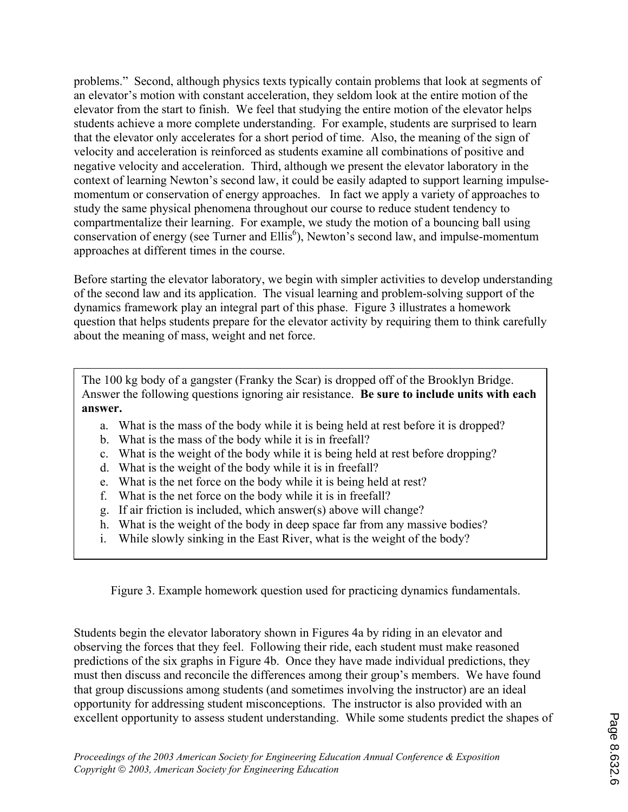problems." Second, although physics texts typically contain problems that look at segments of an elevator's motion with constant acceleration, they seldom look at the entire motion of the elevator from the start to finish. We feel that studying the entire motion of the elevator helps students achieve a more complete understanding. For example, students are surprised to learn that the elevator only accelerates for a short period of time. Also, the meaning of the sign of velocity and acceleration is reinforced as students examine all combinations of positive and negative velocity and acceleration. Third, although we present the elevator laboratory in the context of learning Newton's second law, it could be easily adapted to support learning impulsemomentum or conservation of energy approaches. In fact we apply a variety of approaches to study the same physical phenomena throughout our course to reduce student tendency to compartmentalize their learning. For example, we study the motion of a bouncing ball using conservation of energy (see Turner and Ellis<sup>6</sup>), Newton's second law, and impulse-momentum approaches at different times in the course.

Before starting the elevator laboratory, we begin with simpler activities to develop understanding of the second law and its application. The visual learning and problem-solving support of the dynamics framework play an integral part of this phase. Figure 3 illustrates a homework question that helps students prepare for the elevator activity by requiring them to think carefully about the meaning of mass, weight and net force.

The 100 kg body of a gangster (Franky the Scar) is dropped off of the Brooklyn Bridge. Answer the following questions ignoring air resistance. **Be sure to include units with each answer.** 

- a. What is the mass of the body while it is being held at rest before it is dropped?
- b. What is the mass of the body while it is in freefall?
- c. What is the weight of the body while it is being held at rest before dropping?
- d. What is the weight of the body while it is in freefall?
- e. What is the net force on the body while it is being held at rest?
- f. What is the net force on the body while it is in freefall?
- g. If air friction is included, which answer(s) above will change?
- h. What is the weight of the body in deep space far from any massive bodies?
- i. While slowly sinking in the East River, what is the weight of the body?

Figure 3. Example homework question used for practicing dynamics fundamentals.

Students begin the elevator laboratory shown in Figures 4a by riding in an elevator and observing the forces that they feel. Following their ride, each student must make reasoned predictions of the six graphs in Figure 4b. Once they have made individual predictions, they must then discuss and reconcile the differences among their group's members. We have found that group discussions among students (and sometimes involving the instructor) are an ideal opportunity for addressing student misconceptions. The instructor is also provided with an excellent opportunity to assess student understanding. While some students predict the shapes of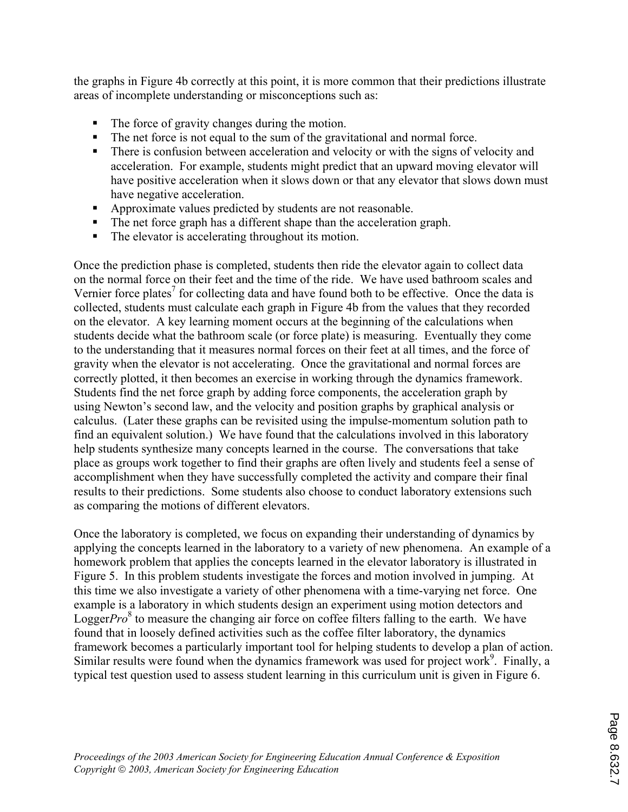the graphs in Figure 4b correctly at this point, it is more common that their predictions illustrate areas of incomplete understanding or misconceptions such as:

- The force of gravity changes during the motion.
- The net force is not equal to the sum of the gravitational and normal force.
- There is confusion between acceleration and velocity or with the signs of velocity and acceleration. For example, students might predict that an upward moving elevator will have positive acceleration when it slows down or that any elevator that slows down must have negative acceleration.
- Approximate values predicted by students are not reasonable.
- The net force graph has a different shape than the acceleration graph.
- The elevator is accelerating throughout its motion.

Once the prediction phase is completed, students then ride the elevator again to collect data on the normal force on their feet and the time of the ride. We have used bathroom scales and Vernier force plates<sup>7</sup> for collecting data and have found both to be effective. Once the data is collected, students must calculate each graph in Figure 4b from the values that they recorded on the elevator. A key learning moment occurs at the beginning of the calculations when students decide what the bathroom scale (or force plate) is measuring. Eventually they come to the understanding that it measures normal forces on their feet at all times, and the force of gravity when the elevator is not accelerating. Once the gravitational and normal forces are correctly plotted, it then becomes an exercise in working through the dynamics framework. Students find the net force graph by adding force components, the acceleration graph by using Newton's second law, and the velocity and position graphs by graphical analysis or calculus. (Later these graphs can be revisited using the impulse-momentum solution path to find an equivalent solution.) We have found that the calculations involved in this laboratory help students synthesize many concepts learned in the course. The conversations that take place as groups work together to find their graphs are often lively and students feel a sense of accomplishment when they have successfully completed the activity and compare their final results to their predictions. Some students also choose to conduct laboratory extensions such as comparing the motions of different elevators.

Once the laboratory is completed, we focus on expanding their understanding of dynamics by applying the concepts learned in the laboratory to a variety of new phenomena. An example of a homework problem that applies the concepts learned in the elevator laboratory is illustrated in Figure 5. In this problem students investigate the forces and motion involved in jumping. At this time we also investigate a variety of other phenomena with a time-varying net force. One example is a laboratory in which students design an experiment using motion detectors and Logger*Pro*<sup>8</sup> to measure the changing air force on coffee filters falling to the earth. We have found that in loosely defined activities such as the coffee filter laboratory, the dynamics framework becomes a particularly important tool for helping students to develop a plan of action. Similar results were found when the dynamics framework was used for project work<sup>9</sup>. Finally, a typical test question used to assess student learning in this curriculum unit is given in Figure 6.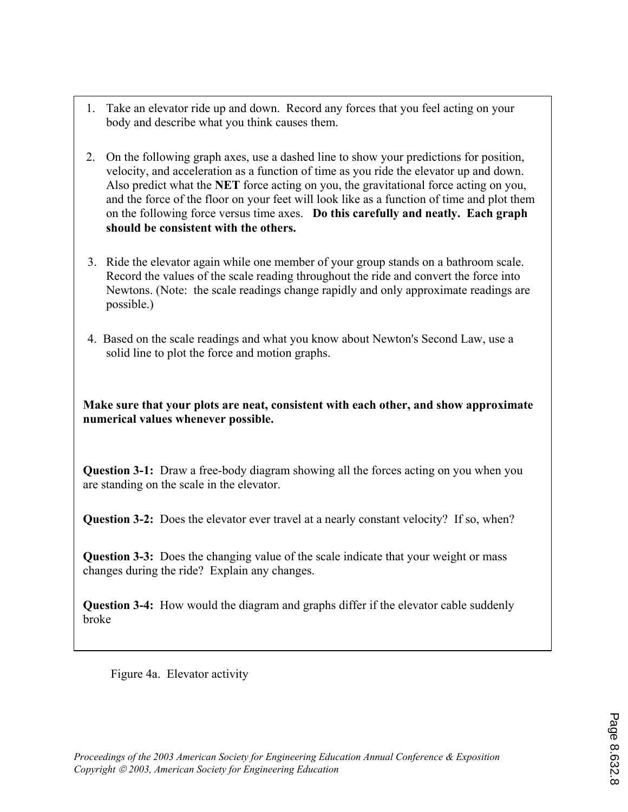- 1. Take an elevator ride up and down. Record any forces that you feel acting on your body and describe what you think causes them.
- 2. On the following graph axes, use a dashed line to show your predictions for position, velocity, and acceleration as a function of time as you ride the elevator up and down. Also predict what the **NET** force acting on you, the gravitational force acting on you, and the force of the floor on your feet will look like as a function of time and plot them on the following force versus time axes. **Do this carefully and neatly. Each graph should be consistent with the others.**
- 3.Ride the elevator again while one member of your group stands on a bathroom scale. Record the values of the scale reading throughout the ride and convert the force into Newtons. (Note: the scale readings change rapidly and only approximate readings are possible.)
- 4. Based on the scale readings and what you know about Newton's Second Law, use a solid line to plot the force and motion graphs.

**Make sure that your plots are neat, consistent with each other, and show approximate numerical values whenever possible.** 

**Question 3-1:** Draw a free-body diagram showing all the forces acting on you when you are standing on the scale in the elevator.

**Question 3-2:** Does the elevator ever travel at a nearly constant velocity? If so, when?

**Question 3-3:** Does the changing value of the scale indicate that your weight or mass changes during the ride? Explain any changes.

**Question 3-4:** How would the diagram and graphs differ if the elevator cable suddenly broke

Figure 4a. Elevator activity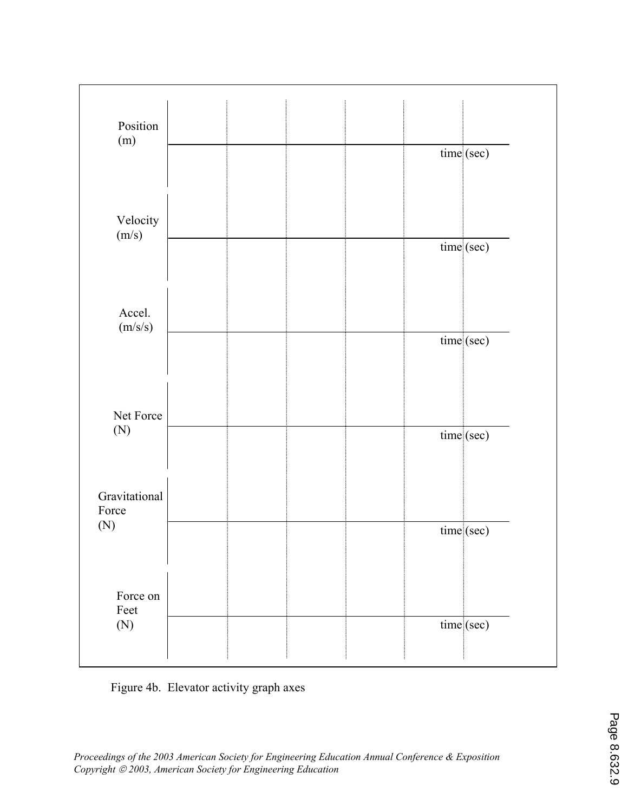| Position                |  |  |            |
|-------------------------|--|--|------------|
| (m)                     |  |  |            |
|                         |  |  | time (sec) |
|                         |  |  |            |
|                         |  |  |            |
| Velocity                |  |  |            |
| (m/s)                   |  |  | time (sec) |
|                         |  |  |            |
|                         |  |  |            |
|                         |  |  |            |
| Accel.<br>(m/s/s)       |  |  |            |
|                         |  |  | time (sec) |
|                         |  |  |            |
|                         |  |  |            |
| Net Force<br>(N)        |  |  |            |
|                         |  |  |            |
|                         |  |  | time (sec) |
|                         |  |  |            |
|                         |  |  |            |
| Gravitational<br>Force  |  |  |            |
| (N)                     |  |  | time (sec) |
|                         |  |  |            |
|                         |  |  |            |
| Force on<br>Feet<br>(N) |  |  |            |
|                         |  |  |            |
|                         |  |  | time (sec) |
|                         |  |  |            |
|                         |  |  |            |

Figure 4b. Elevator activity graph axes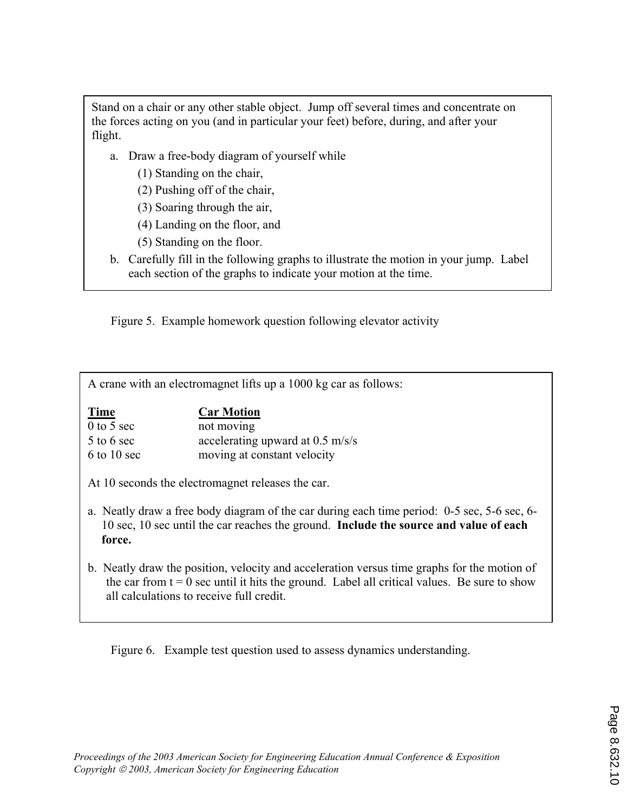Stand on a chair or any other stable object. Jump off several times and concentrate on the forces acting on you (and in particular your feet) before, during, and after your flight.

- a. Draw a free-body diagram of yourself while
	- (1) Standing on the chair,
	- (2) Pushing off of the chair,
	- (3) Soaring through the air,
	- (4) Landing on the floor, and
	- (5) Standing on the floor.
- b. Carefully fill in the following graphs to illustrate the motion in your jump. Label each section of the graphs to indicate your motion at the time.

Figure 5. Example homework question following elevator activity

A crane with an electromagnet lifts up a 1000 kg car as follows:

| Time          | <b>Car Motion</b>                |
|---------------|----------------------------------|
| $0$ to 5 sec  | not moving                       |
| $5$ to 6 sec  | accelerating upward at 0.5 m/s/s |
| $6$ to 10 sec | moving at constant velocity      |

- At 10 seconds the electromagnet releases the car.
- a. Neatly draw a free body diagram of the car during each time period: 0-5 sec, 5-6 sec, 6- 10 sec, 10 sec until the car reaches the ground. **Include the source and value of each force.**
- b. Neatly draw the position, velocity and acceleration versus time graphs for the motion of the car from  $t = 0$  sec until it hits the ground. Label all critical values. Be sure to show all calculations to receive full credit.

Figure 6. Example test question used to assess dynamics understanding.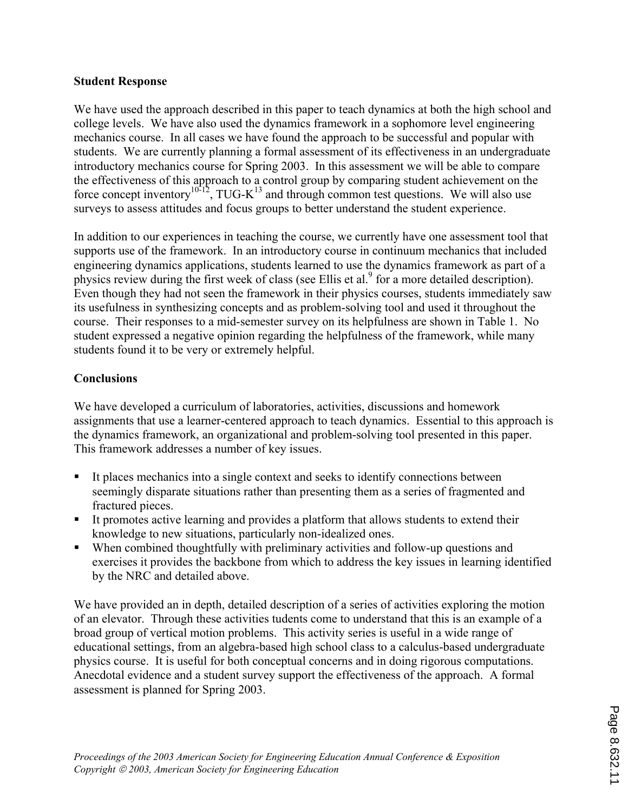## **Student Response**

We have used the approach described in this paper to teach dynamics at both the high school and college levels. We have also used the dynamics framework in a sophomore level engineering mechanics course. In all cases we have found the approach to be successful and popular with students. We are currently planning a formal assessment of its effectiveness in an undergraduate introductory mechanics course for Spring 2003. In this assessment we will be able to compare the effectiveness of this approach to a control group by comparing student achievement on the force concept inventory<sup>10-12</sup>, TUG-K<sup>13</sup> and through common test questions. We will also use surveys to assess attitudes and focus groups to better understand the student experience.

In addition to our experiences in teaching the course, we currently have one assessment tool that supports use of the framework. In an introductory course in continuum mechanics that included engineering dynamics applications, students learned to use the dynamics framework as part of a physics review during the first week of class (see Ellis et al.<sup>9</sup> for a more detailed description). Even though they had not seen the framework in their physics courses, students immediately saw its usefulness in synthesizing concepts and as problem-solving tool and used it throughout the course. Their responses to a mid-semester survey on its helpfulness are shown in Table 1. No student expressed a negative opinion regarding the helpfulness of the framework, while many students found it to be very or extremely helpful.

## **Conclusions**

We have developed a curriculum of laboratories, activities, discussions and homework assignments that use a learner-centered approach to teach dynamics. Essential to this approach is the dynamics framework, an organizational and problem-solving tool presented in this paper. This framework addresses a number of key issues.

- It places mechanics into a single context and seeks to identify connections between seemingly disparate situations rather than presenting them as a series of fragmented and fractured pieces.
- It promotes active learning and provides a platform that allows students to extend their knowledge to new situations, particularly non-idealized ones.
- When combined thoughtfully with preliminary activities and follow-up questions and exercises it provides the backbone from which to address the key issues in learning identified by the NRC and detailed above.

We have provided an in depth, detailed description of a series of activities exploring the motion of an elevator. Through these activities tudents come to understand that this is an example of a broad group of vertical motion problems. This activity series is useful in a wide range of educational settings, from an algebra-based high school class to a calculus-based undergraduate physics course. It is useful for both conceptual concerns and in doing rigorous computations. Anecdotal evidence and a student survey support the effectiveness of the approach. A formal assessment is planned for Spring 2003.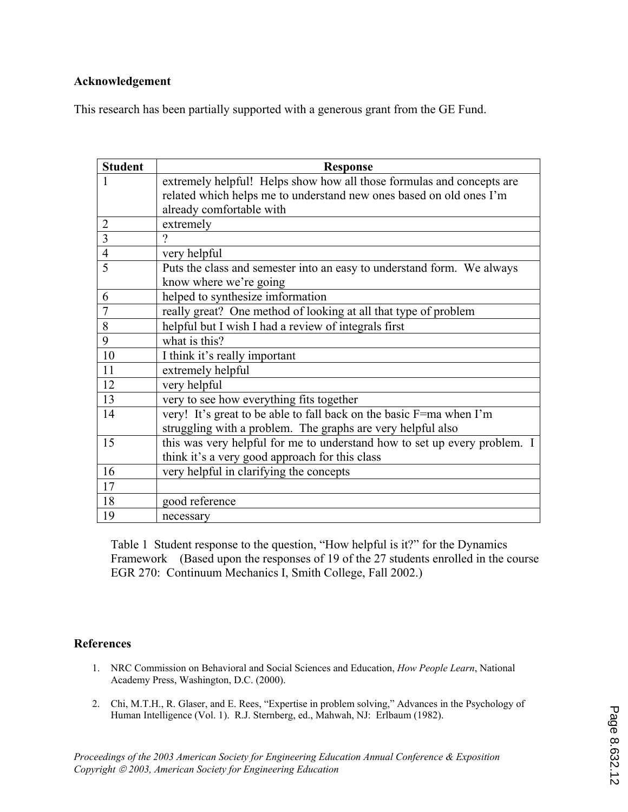## **Acknowledgement**

This research has been partially supported with a generous grant from the GE Fund.

| <b>Student</b> | <b>Response</b>                                                           |  |  |  |
|----------------|---------------------------------------------------------------------------|--|--|--|
| 1              | extremely helpful! Helps show how all those formulas and concepts are     |  |  |  |
|                | related which helps me to understand new ones based on old ones I'm       |  |  |  |
|                | already comfortable with                                                  |  |  |  |
| $\overline{2}$ | extremely                                                                 |  |  |  |
| 3              | $\gamma$                                                                  |  |  |  |
| $\overline{4}$ | very helpful                                                              |  |  |  |
| 5              | Puts the class and semester into an easy to understand form. We always    |  |  |  |
|                | know where we're going                                                    |  |  |  |
| 6              | helped to synthesize imformation                                          |  |  |  |
| 7              | really great? One method of looking at all that type of problem           |  |  |  |
| 8              | helpful but I wish I had a review of integrals first                      |  |  |  |
| 9              | what is this?                                                             |  |  |  |
| 10             | I think it's really important                                             |  |  |  |
| 11             | extremely helpful                                                         |  |  |  |
| 12             | very helpful                                                              |  |  |  |
| 13             | very to see how everything fits together                                  |  |  |  |
| 14             | very! It's great to be able to fall back on the basic F=ma when I'm       |  |  |  |
|                | struggling with a problem. The graphs are very helpful also               |  |  |  |
| 15             | this was very helpful for me to understand how to set up every problem. I |  |  |  |
|                | think it's a very good approach for this class                            |  |  |  |
| 16             | very helpful in clarifying the concepts                                   |  |  |  |
| 17             |                                                                           |  |  |  |
| 18             | good reference                                                            |  |  |  |
| 19             | necessary                                                                 |  |  |  |

Table 1Student response to the question, "How helpful is it?" for the Dynamics Framework (Based upon the responses of 19 of the 27 students enrolled in the course EGR 270: Continuum Mechanics I, Smith College, Fall 2002.)

## **References**

- NRC Commission on Behavioral and Social Sciences and Education, *How People Learn*, National 1. Academy Press, Washington, D.C. (2000).
- 2. Chi, M.T.H., R. Glaser, and E. Rees, "Expertise in problem solving," Advances in the Psychology of Human Intelligence (Vol. 1). R.J. Sternberg, ed., Mahwah, NJ: Erlbaum (1982).